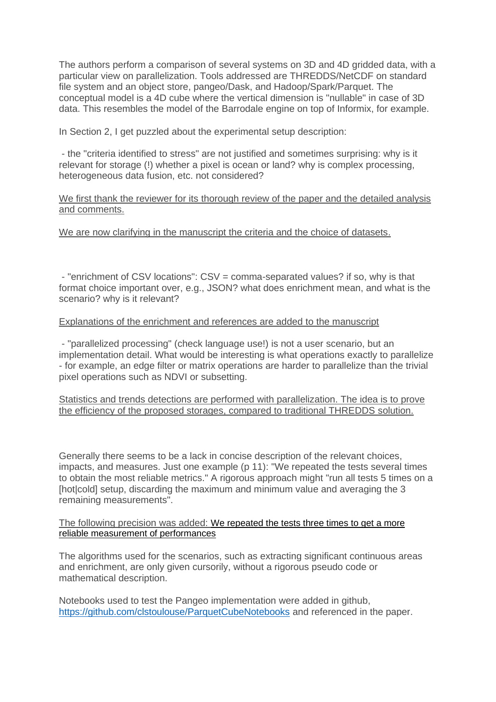The authors perform a comparison of several systems on 3D and 4D gridded data, with a particular view on parallelization. Tools addressed are THREDDS/NetCDF on standard file system and an object store, pangeo/Dask, and Hadoop/Spark/Parquet. The conceptual model is a 4D cube where the vertical dimension is "nullable" in case of 3D data. This resembles the model of the Barrodale engine on top of Informix, for example.

In Section 2, I get puzzled about the experimental setup description:

- the "criteria identified to stress" are not justified and sometimes surprising: why is it relevant for storage (!) whether a pixel is ocean or land? why is complex processing, heterogeneous data fusion, etc. not considered?

### We first thank the reviewer for its thorough review of the paper and the detailed analysis and comments.

## We are now clarifying in the manuscript the criteria and the choice of datasets.

- "enrichment of CSV locations": CSV = comma-separated values? if so, why is that format choice important over, e.g., JSON? what does enrichment mean, and what is the scenario? why is it relevant?

### Explanations of the enrichment and references are added to the manuscript

- "parallelized processing" (check language use!) is not a user scenario, but an implementation detail. What would be interesting is what operations exactly to parallelize - for example, an edge filter or matrix operations are harder to parallelize than the trivial pixel operations such as NDVI or subsetting.

Statistics and trends detections are performed with parallelization. The idea is to prove the efficiency of the proposed storages, compared to traditional THREDDS solution.

Generally there seems to be a lack in concise description of the relevant choices, impacts, and measures. Just one example (p 11): "We repeated the tests several times to obtain the most reliable metrics." A rigorous approach might "run all tests 5 times on a [hot|cold] setup, discarding the maximum and minimum value and averaging the 3 remaining measurements".

#### The following precision was added: We repeated the tests three times to get a more reliable measurement of performances

The algorithms used for the scenarios, such as extracting significant continuous areas and enrichment, are only given cursorily, without a rigorous pseudo code or mathematical description.

Notebooks used to test the Pangeo implementation were added in github, <https://github.com/clstoulouse/ParquetCubeNotebooks> and referenced in the paper.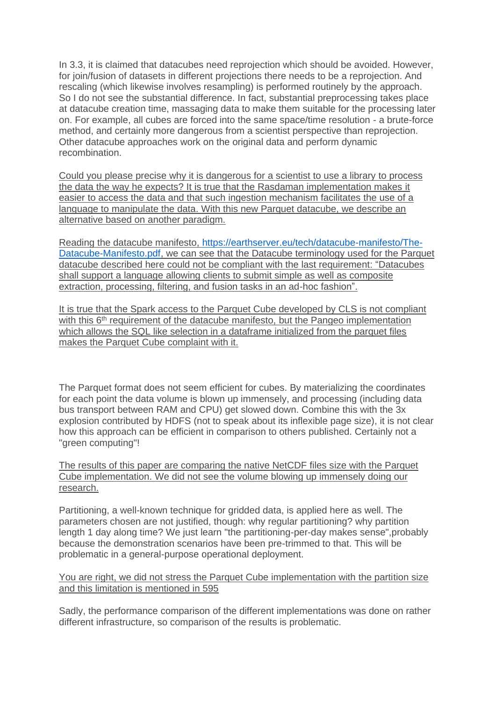In 3.3, it is claimed that datacubes need reprojection which should be avoided. However, for join/fusion of datasets in different projections there needs to be a reprojection. And rescaling (which likewise involves resampling) is performed routinely by the approach. So I do not see the substantial difference. In fact, substantial preprocessing takes place at datacube creation time, massaging data to make them suitable for the processing later on. For example, all cubes are forced into the same space/time resolution - a brute-force method, and certainly more dangerous from a scientist perspective than reprojection. Other datacube approaches work on the original data and perform dynamic recombination.

Could you please precise why it is dangerous for a scientist to use a library to process the data the way he expects? It is true that the Rasdaman implementation makes it easier to access the data and that such ingestion mechanism facilitates the use of a language to manipulate the data. With this new Parquet datacube, we describe an alternative based on another paradigm.

Reading the datacube manifesto, [https://earthserver.eu/tech/datacube-manifesto/The-](https://earthserver.eu/tech/datacube-manifesto/The-Datacube-Manifesto.pdf)[Datacube-Manifesto.pdf,](https://earthserver.eu/tech/datacube-manifesto/The-Datacube-Manifesto.pdf) we can see that the Datacube terminology used for the Parquet datacube described here could not be compliant with the last requirement: "Datacubes shall support a language allowing clients to submit simple as well as composite extraction, processing, filtering, and fusion tasks in an ad-hoc fashion".

It is true that the Spark access to the Parquet Cube developed by CLS is not compliant with this 6<sup>th</sup> requirement of the datacube manifesto, but the Pangeo implementation which allows the SQL like selection in a dataframe initialized from the parquet files makes the Parquet Cube complaint with it.

The Parquet format does not seem efficient for cubes. By materializing the coordinates for each point the data volume is blown up immensely, and processing (including data bus transport between RAM and CPU) get slowed down. Combine this with the 3x explosion contributed by HDFS (not to speak about its inflexible page size), it is not clear how this approach can be efficient in comparison to others published. Certainly not a "green computing"!

The results of this paper are comparing the native NetCDF files size with the Parquet Cube implementation. We did not see the volume blowing up immensely doing our research.

Partitioning, a well-known technique for gridded data, is applied here as well. The parameters chosen are not justified, though: why regular partitioning? why partition length 1 day along time? We just learn "the partitioning-per-day makes sense",probably because the demonstration scenarios have been pre-trimmed to that. This will be problematic in a general-purpose operational deployment.

You are right, we did not stress the Parquet Cube implementation with the partition size and this limitation is mentioned in 595

Sadly, the performance comparison of the different implementations was done on rather different infrastructure, so comparison of the results is problematic.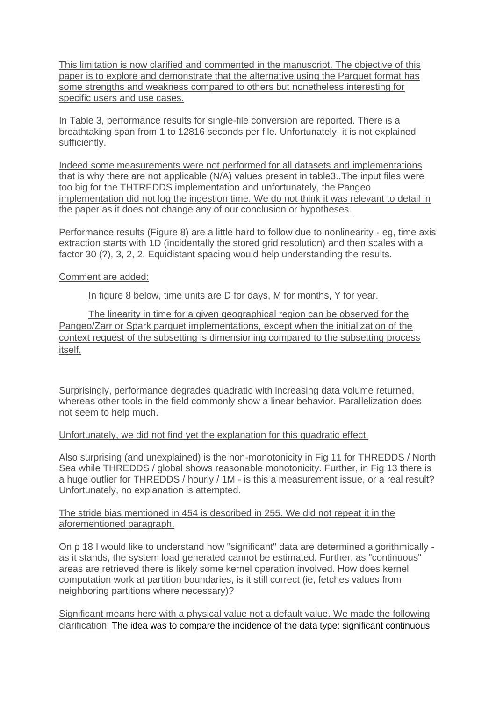This limitation is now clarified and commented in the manuscript. The objective of this paper is to explore and demonstrate that the alternative using the Parquet format has some strengths and weakness compared to others but nonetheless interesting for specific users and use cases.

In Table 3, performance results for single-file conversion are reported. There is a breathtaking span from 1 to 12816 seconds per file. Unfortunately, it is not explained sufficiently.

Indeed some measurements were not performed for all datasets and implementations that is why there are not applicable (N/A) values present in table3..The input files were too big for the THTREDDS implementation and unfortunately, the Pangeo implementation did not log the ingestion time. We do not think it was relevant to detail in the paper as it does not change any of our conclusion or hypotheses.

Performance results (Figure 8) are a little hard to follow due to nonlinearity - eg, time axis extraction starts with 1D (incidentally the stored grid resolution) and then scales with a factor 30 (?), 3, 2, 2. Equidistant spacing would help understanding the results.

# Comment are added:

## In figure 8 below, time units are D for days, M for months, Y for year.

The linearity in time for a given geographical region can be observed for the Pangeo/Zarr or Spark parquet implementations, except when the initialization of the context request of the subsetting is dimensioning compared to the subsetting process itself.

Surprisingly, performance degrades quadratic with increasing data volume returned, whereas other tools in the field commonly show a linear behavior. Parallelization does not seem to help much.

### Unfortunately, we did not find yet the explanation for this quadratic effect.

Also surprising (and unexplained) is the non-monotonicity in Fig 11 for THREDDS / North Sea while THREDDS / global shows reasonable monotonicity. Further, in Fig 13 there is a huge outlier for THREDDS / hourly / 1M - is this a measurement issue, or a real result? Unfortunately, no explanation is attempted.

The stride bias mentioned in 454 is described in 255. We did not repeat it in the aforementioned paragraph.

On p 18 I would like to understand how "significant" data are determined algorithmically as it stands, the system load generated cannot be estimated. Further, as "continuous" areas are retrieved there is likely some kernel operation involved. How does kernel computation work at partition boundaries, is it still correct (ie, fetches values from neighboring partitions where necessary)?

Significant means here with a physical value not a default value. We made the following clarification: The idea was to compare the incidence of the data type: significant continuous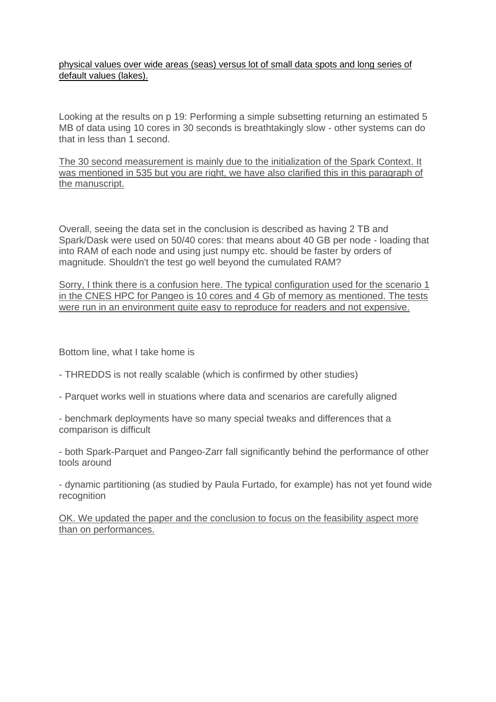physical values over wide areas (seas) versus lot of small data spots and long series of default values (lakes).

Looking at the results on p 19: Performing a simple subsetting returning an estimated 5 MB of data using 10 cores in 30 seconds is breathtakingly slow - other systems can do that in less than 1 second.

The 30 second measurement is mainly due to the initialization of the Spark Context. It was mentioned in 535 but you are right, we have also clarified this in this paragraph of the manuscript.

Overall, seeing the data set in the conclusion is described as having 2 TB and Spark/Dask were used on 50/40 cores: that means about 40 GB per node - loading that into RAM of each node and using just numpy etc. should be faster by orders of magnitude. Shouldn't the test go well beyond the cumulated RAM?

Sorry, I think there is a confusion here. The typical configuration used for the scenario 1 in the CNES HPC for Pangeo is 10 cores and 4 Gb of memory as mentioned. The tests were run in an environment quite easy to reproduce for readers and not expensive.

Bottom line, what I take home is

- THREDDS is not really scalable (which is confirmed by other studies)
- Parquet works well in stuations where data and scenarios are carefully aligned
- benchmark deployments have so many special tweaks and differences that a comparison is difficult

- both Spark-Parquet and Pangeo-Zarr fall significantly behind the performance of other tools around

- dynamic partitioning (as studied by Paula Furtado, for example) has not yet found wide recognition

OK. We updated the paper and the conclusion to focus on the feasibility aspect more than on performances.